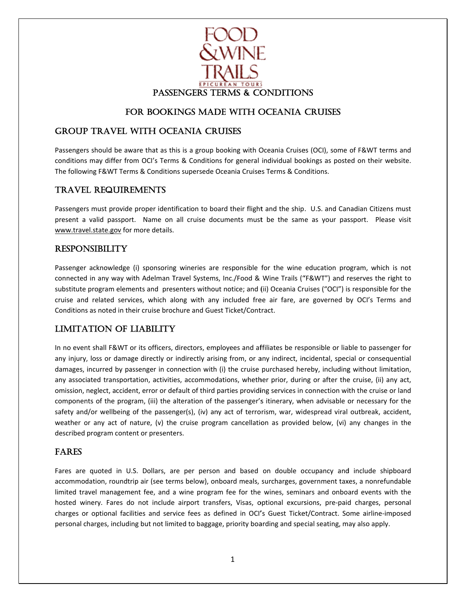

### FOR BOOKINGS MADE WITH OCEANIA CRUISES

### GROUP TRAVEL WITH OCEANIA CRUISES

Passengers should be aware that as this is a group booking with Oceania Cruises (OCI), some of F&WT terms and conditions may differ from OCI's Terms & Conditions for general individual bookings as posted on their website. The following F&WT Terms & Conditions supersede Oceania Cruises Terms & Conditions.

### TRAVEL L REQUIRE EMENTS

Passengers must provide proper identification to board their flight and the ship. U.S. and Canadian Citizens must present a valid passport. Name on all cruise documents must be the same as your passport. Please visit www.travel.state.gov for more details.

#### RESPON NSIBILITY

Passenger acknowledge (i) sponsoring wineries are responsible for the wine education program, which is not connected in any way with Adelman Travel Systems, Inc./Food & Wine Trails ("F&WT") and reserves the right to substitute program elements and presenters without notice; and (ii) Oceania Cruises ("OCI") is responsible for the cruise and related services, which along with any included free air fare, are governed by OCI's Terms and Conditions as noted in their cruise brochure and Guest Ticket/Contract.

### LIMITATION OF LIABILITY

In no event shall F&WT or its officers, directors, employees and affiliates be responsible or liable to passenger for any injury, loss or damage directly or indirectly arising from, or any indirect, incidental, special or consequential damages, incurred by passenger in connection with (i) the cruise purchased hereby, including without limitation, any associated transportation, activities, accommodations, whether prior, during or after the cruise, (ii) any act, omission, neglect, accident, error or default of third parties providing services in connection with the cruise or land components of the program, (iii) the alteration of the passenger's itinerary, when advisable or necessary for the safety and/or wellbeing of the passenger(s), (iv) any act of terrorism, war, widespread viral outbreak, accident, weather or any act of nature, (v) the cruise program cancellation as provided below, (vi) any changes in the described program content or presenters.

#### FARES

Fares are quoted in U.S. Dollars, are per person and based on double occupancy and include shipboard accommodation, roundtrip air (see terms below), onboard meals, surcharges, government taxes, a nonrefundable limited travel management fee, and a wine program fee for the wines, seminars and onboard events with the hosted winery. Fares do not include airport transfers, Visas, optional excursions, pre-paid charges, personal charges or optional facilities and service fees as defined in OCI's Guest Ticket/Contract. Some airline-imposed personal charges, including but not limited to baggage, priority boarding and special seating, may also apply.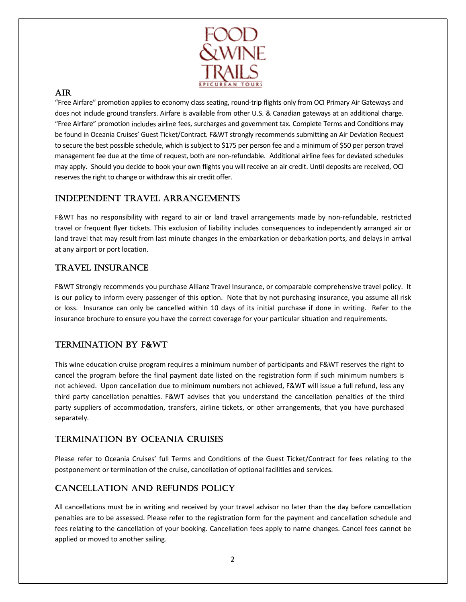

### **AIR**

"Free Airfare" promotion applies to economy class seating, round-trip flights only from OCI Primary Air Gateways and does not include ground transfers. Airfare is available from other U.S. & Canadian gateways at an additional charge. "Free Airfare" promotion includes airline fees, surcharges and government tax. Complete Terms and Conditions may be found in Oceania Cruises' Guest Ticket/Contract. F&WT strongly recommends submitting an Air Deviation Request to secure the best possible schedule, which is subject to \$175 per person fee and a minimum of \$50 per person travel management fee due at the time of request, both are non-refundable. Additional airline fees for deviated schedules may apply. Should you decide to book your own flights you will receive an air credit. Until deposits are received, OCI reserves the right to change or withdraw this air credit offer.

# **INDEPENDENT TRAVEL ARRANGEMENTS**

F&WT has no responsibility with regard to air or land travel arrangements made by non-refundable, restricted travel or frequent flyer tickets. This exclusion of liability includes consequences to independently arranged air or land travel that may result from last minute changes in the embarkation or debarkation ports, and delays in arrival at any airport or port location.

# **TRAVEL INSURANCE**

F&WT Strongly recommends you purchase Allianz Travel Insurance, or comparable comprehensive travel policy. It is our policy to inform every passenger of this option. Note that by not purchasing insurance, you assume all risk or loss. Insurance can only be cancelled within 10 days of its initial purchase if done in writing. Refer to the insurance brochure to ensure you have the correct coverage for your particular situation and requirements.

# **TERMINATION BY F&WT**

This wine education cruise program requires a minimum number of participants and F&WT reserves the right to cancel the program before the final payment date listed on the registration form if such minimum numbers is not achieved. Upon cancellation due to minimum numbers not achieved, F&WT will issue a full refund, less any third party cancellation penalties. F&WT advises that you understand the cancellation penalties of the third party suppliers of accommodation, transfers, airline tickets, or other arrangements, that you have purchased separately.

## **TERMINATION BY OCEANIA CRUISES**

Please refer to Oceania Cruises' full Terms and Conditions of the Guest Ticket/Contract for fees relating to the postponement or termination of the cruise, cancellation of optional facilities and services.

# **CANCELLATION AND REFUNDS POLICY**

All cancellations must be in writing and received by your travel advisor no later than the day before cancellation penalties are to be assessed. Please refer to the registration form for the payment and cancellation schedule and fees relating to the cancellation of your booking. Cancellation fees apply to name changes. Cancel fees cannot be applied or moved to another sailing.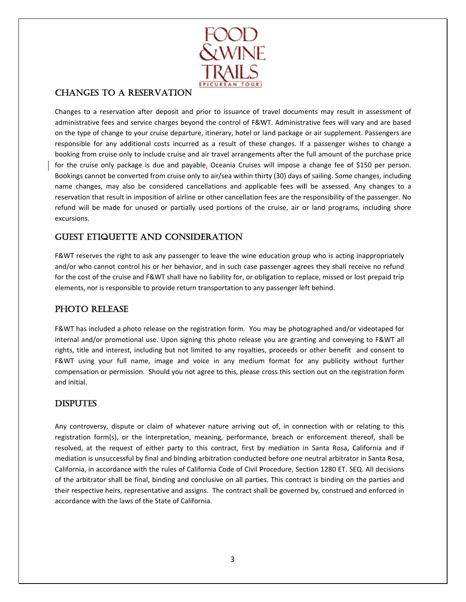

### **CHANGES TO A RESERVATION**

Changes to a reservation after deposit and prior to issuance of travel documents may result in assessment of administrative fees and service charges beyond the control of F&WT. Administrative fees will vary and are based on the type of change to your cruise departure, itinerary, hotel or land package or air supplement. Passengers are responsible for any additional costs incurred as a result of these changes. If a passenger wishes to change a booking from cruise only to include cruise and air travel arrangements after the full amount of the purchase price for the cruise only package is due and payable, Oceania Cruises will impose a change fee of \$150 per person. Bookings cannot be converted from cruise only to air/sea within thirty (30) days of sailing. Some changes, including name changes, may also be considered cancellations and applicable fees will be assessed. Any changes to a reservation that result in imposition of airline or other cancellation fees are the responsibility of the passenger. No refund will be made for unused or partially used portions of the cruise, air or land programs, including shore excursions.

### **GUEST ETIQUETTE AND CONSIDERATION**

F&WT reserves the right to ask any passenger to leave the wine education group who is acting inappropriately and/or who cannot control his or her behavior, and in such case passenger agrees they shall receive no refund for the cost of the cruise and F&WT shall have no liability for, or obligation to replace, missed or lost prepaid trip elements, nor is responsible to provide return transportation to any passenger left behind.

### PHOTO RELEASE

F&WT has included a photo release on the registration form. You may be photographed and/or videotaped for internal and/or promotional use. Upon signing this photo release you are granting and conveying to F&WT all rights, title and interest, including but not limited to any royalties, proceeds or other benefit and consent to F&WT using your full name, image and voice in any medium format for any publicity without further compensation or permission. Should you not agree to this, please cross this section out on the registration form and initial.

### **DISPUTES**

Any controversy, dispute or claim of whatever nature arriving out of, in connection with or relating to this registration form(s), or the interpretation, meaning, performance, breach or enforcement thereof, shall be resolved, at the request of either party to this contract, first by mediation in Santa Rosa, California and if mediation is unsuccessful by final and binding arbitration conducted before one neutral arbitrator in Santa Rosa, California, in accordance with the rules of California Code of Civil Procedure, Section 1280 ET. SEQ. All decisions of the arbitrator shall be final, binding and conclusive on all parties. This contract is binding on the parties and their respective heirs, representative and assigns. The contract shall be governed by, construed and enforced in accordance with the laws of the State of California.